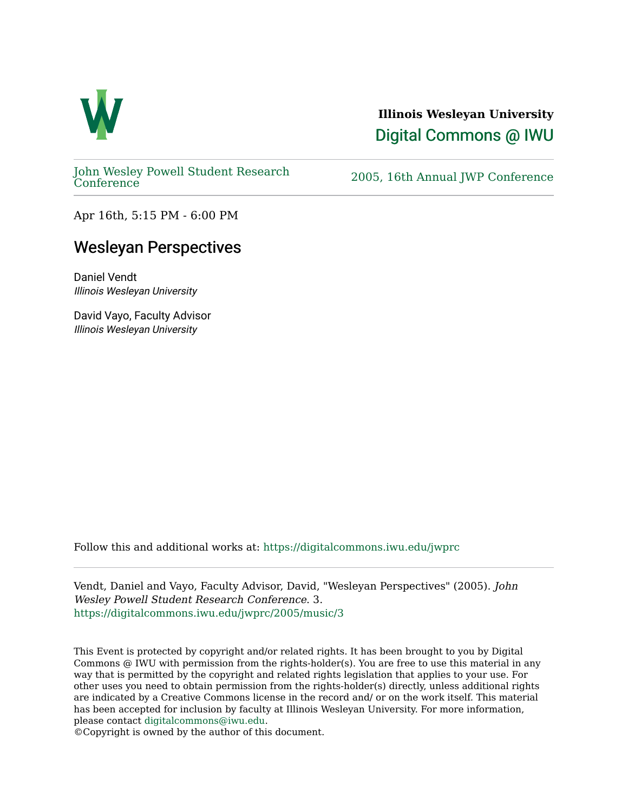

## **Illinois Wesleyan University**  [Digital Commons @ IWU](https://digitalcommons.iwu.edu/)

[John Wesley Powell Student Research](https://digitalcommons.iwu.edu/jwprc) 

2005, 16th Annual JWP [Conference](https://digitalcommons.iwu.edu/jwprc)

Apr 16th, 5:15 PM - 6:00 PM

## Wesleyan Perspectives

Daniel Vendt Illinois Wesleyan University

David Vayo, Faculty Advisor Illinois Wesleyan University

Follow this and additional works at: [https://digitalcommons.iwu.edu/jwprc](https://digitalcommons.iwu.edu/jwprc?utm_source=digitalcommons.iwu.edu%2Fjwprc%2F2005%2Fmusic%2F3&utm_medium=PDF&utm_campaign=PDFCoverPages) 

Vendt, Daniel and Vayo, Faculty Advisor, David, "Wesleyan Perspectives" (2005). John Wesley Powell Student Research Conference. 3. [https://digitalcommons.iwu.edu/jwprc/2005/music/3](https://digitalcommons.iwu.edu/jwprc/2005/music/3?utm_source=digitalcommons.iwu.edu%2Fjwprc%2F2005%2Fmusic%2F3&utm_medium=PDF&utm_campaign=PDFCoverPages) 

This Event is protected by copyright and/or related rights. It has been brought to you by Digital Commons @ IWU with permission from the rights-holder(s). You are free to use this material in any way that is permitted by the copyright and related rights legislation that applies to your use. For other uses you need to obtain permission from the rights-holder(s) directly, unless additional rights are indicated by a Creative Commons license in the record and/ or on the work itself. This material has been accepted for inclusion by faculty at Illinois Wesleyan University. For more information, please contact [digitalcommons@iwu.edu.](mailto:digitalcommons@iwu.edu)

©Copyright is owned by the author of this document.